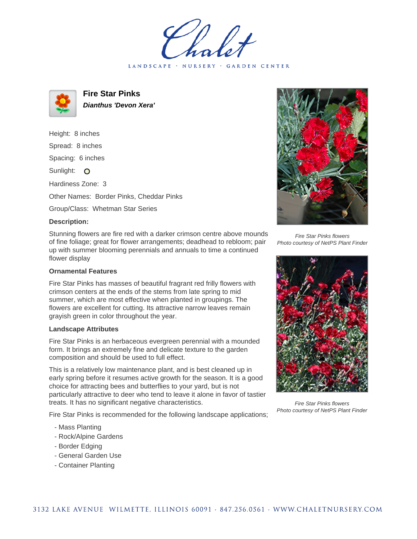LANDSCAPE · NURSERY · GARDEN CENTER



**Fire Star Pinks Dianthus 'Devon Xera'**

Height: 8 inches Spread: 8 inches Spacing: 6 inches

Sunlight: O

Hardiness Zone: 3

Other Names: Border Pinks, Cheddar Pinks

Group/Class: Whetman Star Series

## **Description:**

Stunning flowers are fire red with a darker crimson centre above mounds of fine foliage; great for flower arrangements; deadhead to rebloom; pair up with summer blooming perennials and annuals to time a continued flower display

## **Ornamental Features**

Fire Star Pinks has masses of beautiful fragrant red frilly flowers with crimson centers at the ends of the stems from late spring to mid summer, which are most effective when planted in groupings. The flowers are excellent for cutting. Its attractive narrow leaves remain grayish green in color throughout the year.

## **Landscape Attributes**

Fire Star Pinks is an herbaceous evergreen perennial with a mounded form. It brings an extremely fine and delicate texture to the garden composition and should be used to full effect.

This is a relatively low maintenance plant, and is best cleaned up in early spring before it resumes active growth for the season. It is a good choice for attracting bees and butterflies to your yard, but is not particularly attractive to deer who tend to leave it alone in favor of tastier treats. It has no significant negative characteristics.

Fire Star Pinks is recommended for the following landscape applications;

- Mass Planting
- Rock/Alpine Gardens
- Border Edging
- General Garden Use
- Container Planting



Fire Star Pinks flowers Photo courtesy of NetPS Plant Finder



Fire Star Pinks flowers Photo courtesy of NetPS Plant Finder